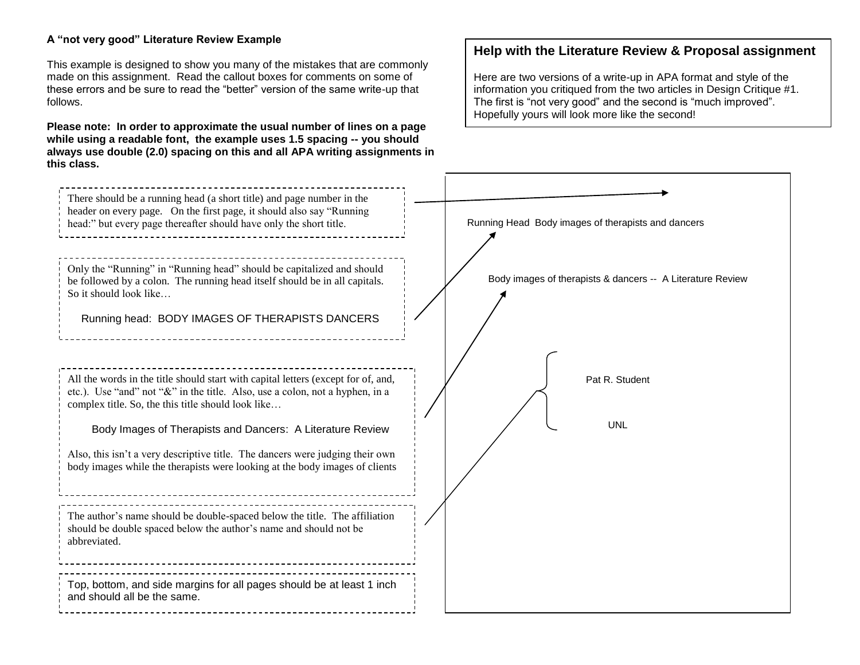## **A "not very good" Literature Review Example**

This example is designed to show you many of the mistakes that are commonly made on this assignment. Read the callout boxes for comments on some of these errors and be sure to read the "better" version of the same write-up that follows.

**Please note: In order to approximate the usual number of lines on a page while using a readable font, the example uses 1.5 spacing -- you should always use double (2.0) spacing on this and all APA writing assignments in this class.**

# **Help with the Literature Review & Proposal assignment**

Here are two versions of a write-up in APA format and style of the information you critiqued from the two articles in Design Critique #1. The first is "not very good" and the second is "much improved". Hopefully yours will look more like the second!

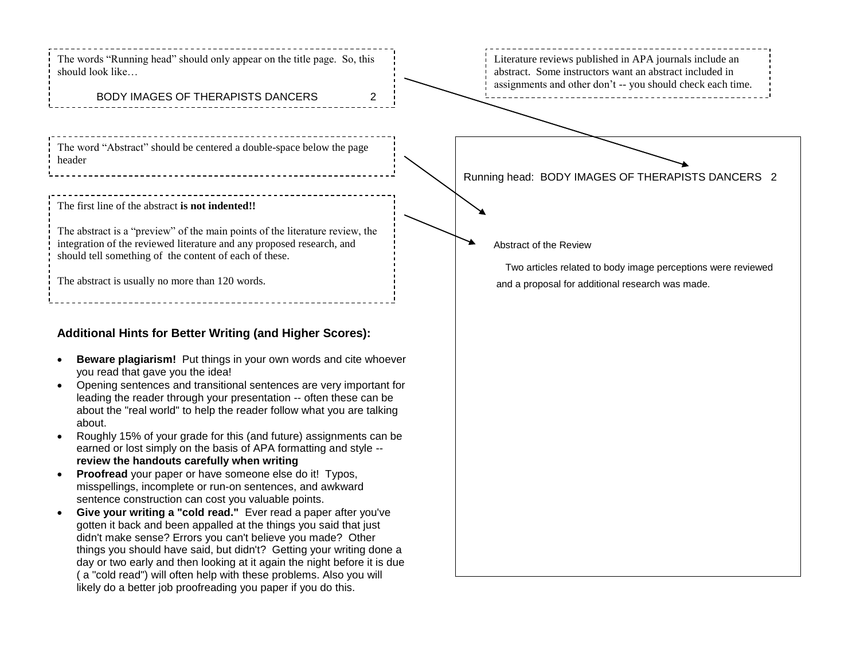The words "Running head" should only appear on the title page. So, this should look like…

# BODY IMAGES OF THERAPISTS DANCERS 2

The word "Abstract" should be centered a double-space below the page header

### The first line of the abstract **is not indented!!**

The abstract is a "preview" of the main points of the literature review, the integration of the reviewed literature and any proposed research, and should tell something of the content of each of these.

The abstract is usually no more than 120 words.

# **Additional Hints for Better Writing (and Higher Scores):**

- **Beware plagiarism!** Put things in your own words and cite whoever you read that gave you the idea!
- Opening sentences and transitional sentences are very important for leading the reader through your presentation -- often these can be about the "real world" to help the reader follow what you are talking about.
- Roughly 15% of your grade for this (and future) assignments can be earned or lost simply on the basis of APA formatting and style - **review the handouts carefully when writing**
- **Proofread** your paper or have someone else do it! Typos, misspellings, incomplete or run-on sentences, and awkward sentence construction can cost you valuable points.
- **Give your writing a "cold read."** Ever read a paper after you've gotten it back and been appalled at the things you said that just didn't make sense? Errors you can't believe you made? Other things you should have said, but didn't? Getting your writing done a day or two early and then looking at it again the night before it is due ( a "cold read") will often help with these problems. Also you will likely do a better job proofreading you paper if you do this.

Literature reviews published in APA journals include an abstract. Some instructors want an abstract included in assignments and other don't -- you should check each time.

Running head: BODY IMAGES OF THERAPISTS DANCERS 2

#### Abstract of the Review

 Two articles related to body image perceptions were reviewed and a proposal for additional research was made.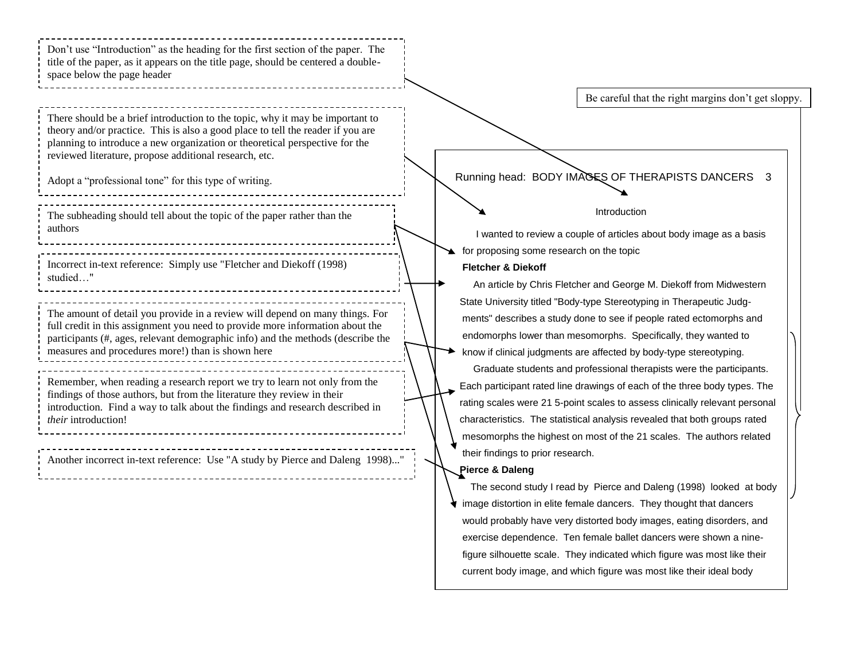Running head: BODY IMAGES OF THERAPISTS DANCERS 3 Ì Introduction I wanted to review a couple of articles about body image as a basis for proposing some research on the topic **Fletcher & Diekoff** An article by Chris Fletcher and George M. Diekoff from Midwestern State University titled "Body-type Stereotyping in Therapeutic Judg ments" describes a study done to see if people rated ectomorphs and endomorphs lower than mesomorphs. Specifically, they wanted to know if clinical judgments are affected by body-type stereotyping. Graduate students and professional therapists were the participants. Each participant rated line drawings of each of the three body types. The rating scales were 21 5-point scales to assess clinically relevant personal characteristics. The statistical analysis revealed that both groups rated mesomorphs the highest on most of the 21 scales. The authors related their findings to prior research. **Pierce & Daleng** The second study I read by Pierce and Daleng (1998) looked at body image distortion in elite female dancers. They thought that dancers would probably have very distorted body images, eating disorders, and Don't use "Introduction" as the heading for the first section of the paper. The title of the paper, as it appears on the title page, should be centered a doublespace below the page header There should be a brief introduction to the topic, why it may be important to theory and/or practice. This is also a good place to tell the reader if you are planning to introduce a new organization or theoretical perspective for the reviewed literature, propose additional research, etc. Adopt a "professional tone" for this type of writing. Incorrect in-text reference: Simply use "Fletcher and Diekoff (1998) studied…" The amount of detail you provide in a review will depend on many things. For full credit in this assignment you need to provide more information about the participants (#, ages, relevant demographic info) and the methods (describe the measures and procedures more!) than is shown here Remember, when reading a research report we try to learn not only from the findings of those authors, but from the literature they review in their introduction. Find a way to talk about the findings and research described in *their* introduction! The subheading should tell about the topic of the paper rather than the authors Be careful that the right margins don't get sloppy. Another incorrect in-text reference: Use "A study by Pierce and Daleng 1998)..." 

 exercise dependence. Ten female ballet dancers were shown a nine figure silhouette scale. They indicated which figure was most like their current body image, and which figure was most like their ideal body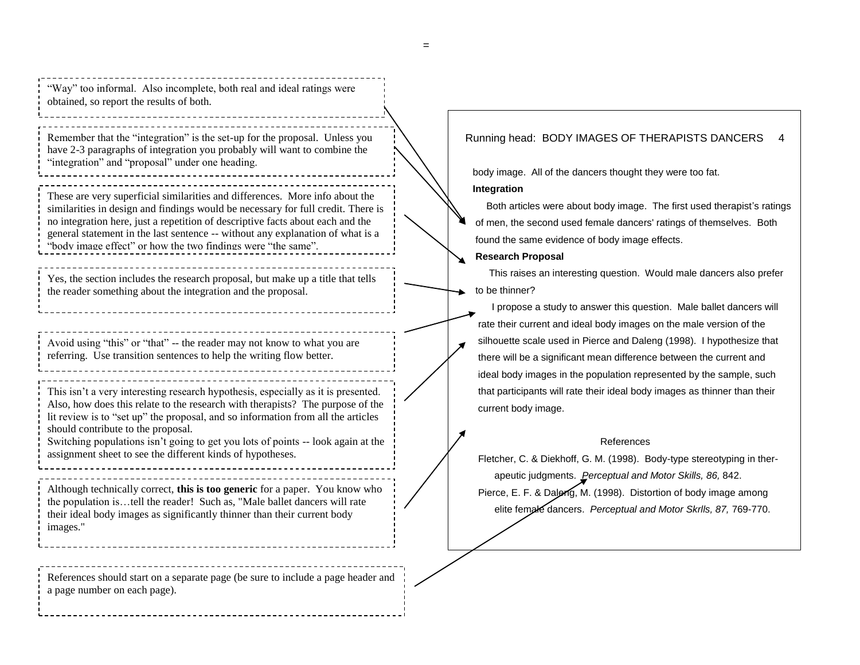"Way" too informal. Also incomplete, both real and ideal ratings were obtained, so report the results of both.

Remember that the "integration" is the set-up for the proposal. Unless you have 2-3 paragraphs of integration you probably will want to combine the "integration" and "proposal" under one heading.

These are very superficial similarities and differences. More info about the similarities in design and findings would be necessary for full credit. There is no integration here, just a repetition of descriptive facts about each and the general statement in the last sentence -- without any explanation of what is a "body image effect" or how the two findings were "the same".

Yes, the section includes the research proposal, but make up a title that tells the reader something about the integration and the proposal.

Avoid using "this" or "that" -- the reader may not know to what you are referring. Use transition sentences to help the writing flow better.

This isn't a very interesting research hypothesis, especially as it is presented. Also, how does this relate to the research with therapists? The purpose of the lit review is to "set up" the proposal, and so information from all the articles should contribute to the proposal.

Switching populations isn't going to get you lots of points -- look again at the assignment sheet to see the different kinds of hypotheses.

Although technically correct, **this is too generic** for a paper. You know who the population is…tell the reader! Such as, "Male ballet dancers will rate their ideal body images as significantly thinner than their current body images."

References should start on a separate page (be sure to include a page header and a page number on each page).

## Running head: BODY IMAGES OF THERAPISTS DANCERS 4

body image. All of the dancers thought they were too fat.

#### **Integration**

 Both articles were about body image. The first used therapist's ratings of men, the second used female dancers' ratings of themselves. Both found the same evidence of body image effects.

#### **Research Proposal**

This raises an interesting question. Would male dancers also prefer to be thinner?

 I propose a study to answer this question. Male ballet dancers will rate their current and ideal body images on the male version of the silhouette scale used in Pierce and Daleng (1998). I hypothesize that there will be a significant mean difference between the current and ideal body images in the population represented by the sample, such that participants will rate their ideal body images as thinner than their current body image.

#### References

Fletcher, C. & Diekhoff, G. M. (1998). Body-type stereotyping in ther apeutic judgments. *Perceptual and Motor Skills, 86,* 842. Pierce, E. F. & Daleng, M. (1998). Distortion of body image among elite female dancers. *Perceptual and Motor Skrlls, 87,* 769-770.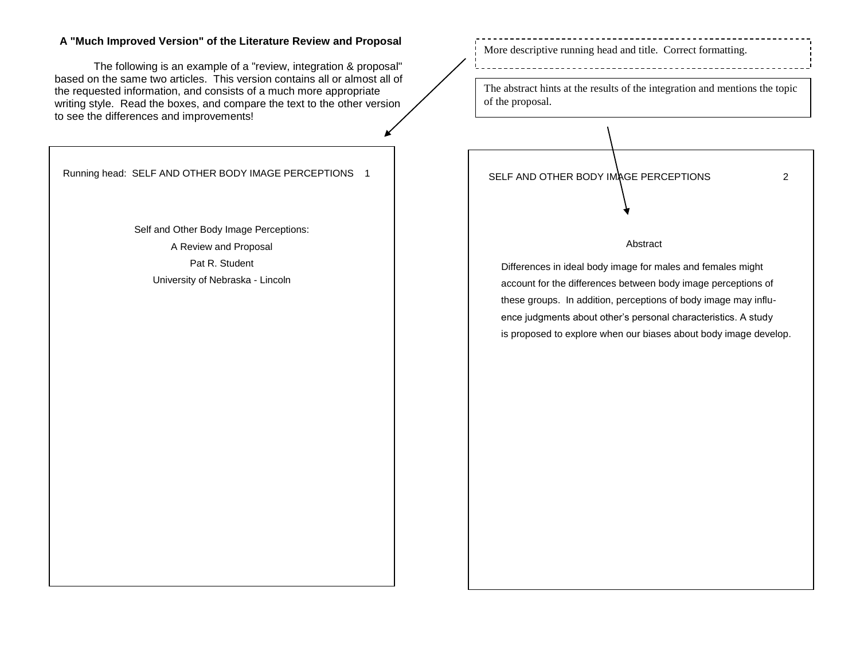## **A "Much Improved Version" of the Literature Review and Proposal**

The following is an example of a "review, integration & proposal" based on the same two articles. This version contains all or almost all of the requested information, and consists of a much more appropriate writing style. Read the boxes, and compare the text to the other version to see the differences and improvements!

Running head: SELF AND OTHER BODY IMAGE PERCEPTIONS 1

Self and Other Body Image Perceptions: A Review and Proposal Pat R. Student University of Nebraska - Lincoln

More descriptive running head and title. Correct formatting.

The abstract hints at the results of the integration and mentions the topic of the proposal.

SELF AND OTHER BODY IMAGE PERCEPTIONS 2

#### Abstract

 Differences in ideal body image for males and females might account for the differences between body image perceptions of these groups. In addition, perceptions of body image may influ ence judgments about other's personal characteristics. A study is proposed to explore when our biases about body image develop.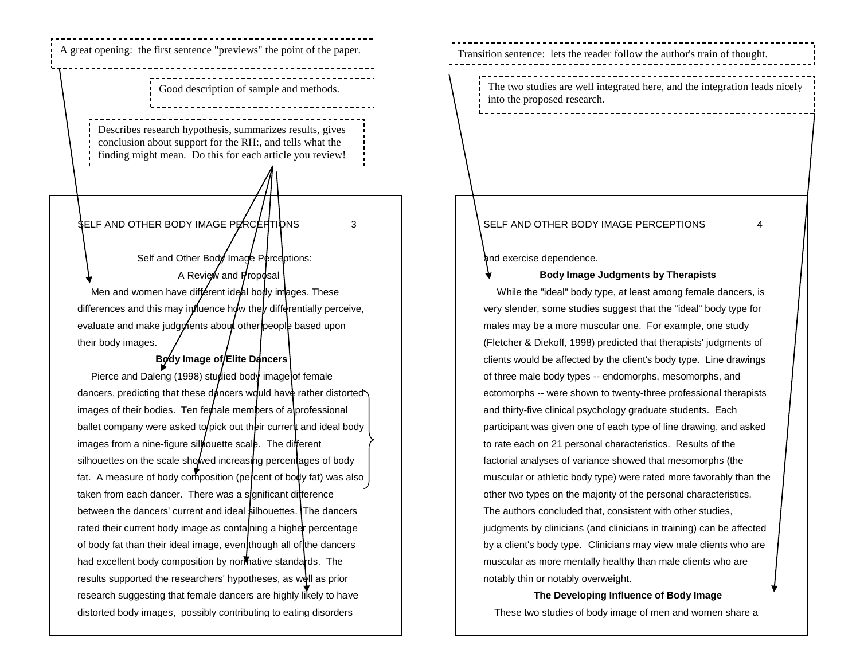# A great opening: the first sentence "previews" the point of the paper.

Good description of sample and methods.

Describes research hypothesis, summarizes results, gives conclusion about support for the RH:, and tells what the finding might mean. Do this for each article you review!

# **SELF AND OTHER BODY IMAGE PERCEPTIONS** 3

Self and Other Body Image Perceptions: A Review and Proposal Men and women have different ideal body images. These differences and this may influence how they differentially perceive, evaluate and make judgments about other people based upon their body images.

# **Body Image of Elite Dancers**

Pierce and Daleng (1998) studied body image of female dancers, predicting that these dancers would have rather distorted images of their bodies. Ten female members of a professional ballet company were asked to pick out their current and ideal body images from a nine-figure siliouette scale. The different silhouettes on the scale showed increasing percentages of body fat. A measure of body composition (percent of body fat) was also taken from each dancer. There was a sonificant difference between the dancers' current and ideal silhouettes. The dancers rated their current body image as contanning a higher percentage of body fat than their ideal image, even though all of the dancers had excellent body composition by normative standards. The results supported the researchers' hypotheses, as well as prior research suggesting that female dancers are highly likely to have distorted body images, possibly contributing to eating disorders

Transition sentence: lets the reader follow the author's train of thought.

The two studies are well integrated here, and the integration leads nicely into the proposed research.

## SELF AND OTHER BODY IMAGE PERCEPTIONS 4

and exercise dependence.

### **Body Image Judgments by Therapists**

 While the "ideal" body type, at least among female dancers, is very slender, some studies suggest that the "ideal" body type for males may be a more muscular one. For example, one study (Fletcher & Diekoff, 1998) predicted that therapists' judgments of clients would be affected by the client's body type. Line drawings of three male body types -- endomorphs, mesomorphs, and ectomorphs -- were shown to twenty-three professional therapists and thirty-five clinical psychology graduate students. Each participant was given one of each type of line drawing, and asked to rate each on 21 personal characteristics. Results of the factorial analyses of variance showed that mesomorphs (the muscular or athletic body type) were rated more favorably than the other two types on the majority of the personal characteristics. The authors concluded that, consistent with other studies, judgments by clinicians (and clinicians in training) can be affected by a client's body type. Clinicians may view male clients who are muscular as more mentally healthy than male clients who are notably thin or notably overweight.

**The Developing Influence of Body Image** These two studies of body image of men and women share a